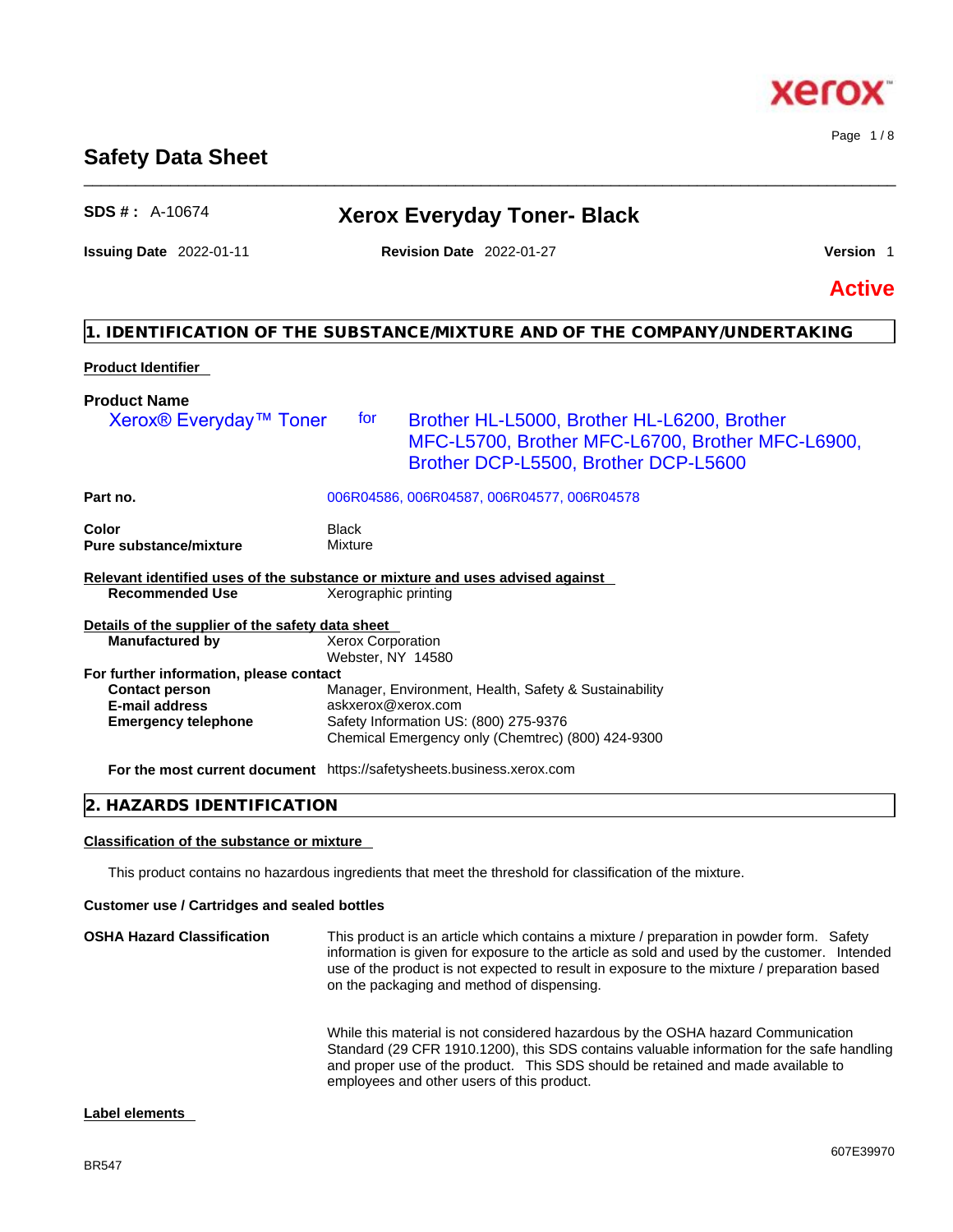# **Safety Data Sheet**

# **SDS # :** A-10674 **Xerox Everyday Toner- Black**

\_\_\_\_\_\_\_\_\_\_\_\_\_\_\_\_\_\_\_\_\_\_\_\_\_\_\_\_\_\_\_\_\_\_\_\_\_\_\_\_\_\_\_\_\_\_\_\_\_\_\_\_\_\_\_\_\_\_\_\_\_\_\_\_\_\_\_\_\_\_\_\_\_\_\_\_\_\_\_\_\_\_\_\_\_\_\_\_\_\_\_\_\_\_

| <b>Issuing Date 2022-01-11</b> |  |  |  |
|--------------------------------|--|--|--|
|--------------------------------|--|--|--|

# **Issuing Date** 2022-01-11 **Revision Date** 2022-01-27 **Version** 1

Page 1 / 8

**Active**

# **1. IDENTIFICATION OF THE SUBSTANCE/MIXTURE AND OF THE COMPANY/UNDERTAKING**

# **Product Identifier**

| <b>Product Name</b><br>Xerox <sup>®</sup> Everyday <sup>™</sup> Toner         | for                                           | Brother HL-L5000, Brother HL-L6200, Brother<br>MFC-L5700, Brother MFC-L6700, Brother MFC-L6900,<br>Brother DCP-L5500, Brother DCP-L5600 |
|-------------------------------------------------------------------------------|-----------------------------------------------|-----------------------------------------------------------------------------------------------------------------------------------------|
|                                                                               |                                               |                                                                                                                                         |
| Part no.                                                                      |                                               | 006R04586, 006R04587, 006R04577, 006R04578                                                                                              |
| Color<br><b>Pure substance/mixture</b>                                        | Black<br>Mixture                              |                                                                                                                                         |
| Relevant identified uses of the substance or mixture and uses advised against |                                               |                                                                                                                                         |
| <b>Recommended Use</b>                                                        | Xerographic printing                          |                                                                                                                                         |
| Details of the supplier of the safety data sheet                              |                                               |                                                                                                                                         |
| <b>Manufactured by</b>                                                        | <b>Xerox Corporation</b><br>Webster, NY 14580 |                                                                                                                                         |
| For further information, please contact                                       |                                               |                                                                                                                                         |
| <b>Contact person</b>                                                         |                                               | Manager, Environment, Health, Safety & Sustainability                                                                                   |
| <b>E-mail address</b>                                                         | askxerox@xerox.com                            |                                                                                                                                         |
| <b>Emergency telephone</b>                                                    |                                               | Safety Information US: (800) 275-9376<br>Chemical Emergency only (Chemtrec) (800) 424-9300                                              |
| For the most current document https://safetysheets.business.xerox.com         |                                               |                                                                                                                                         |

# **2. HAZARDS IDENTIFICATION**

# **Classification of the substance or mixture**

This product contains no hazardous ingredients that meet the threshold for classification of the mixture.

# **Customer use / Cartridges and sealed bottles**

**OSHA Hazard Classification** This product is an article which contains a mixture / preparation in powder form. Safety information is given for exposure to the article as sold and used by the customer. Intended use of the product is not expected to result in exposure to the mixture / preparation based on the packaging and method of dispensing.

While this material is not considered hazardous by the OSHA hazard Communication Standard (29 CFR 1910.1200), this SDS contains valuable information for the safe handling and proper use of the product. This SDS should be retained and made available to employees and other users of this product.

# **Label elements**

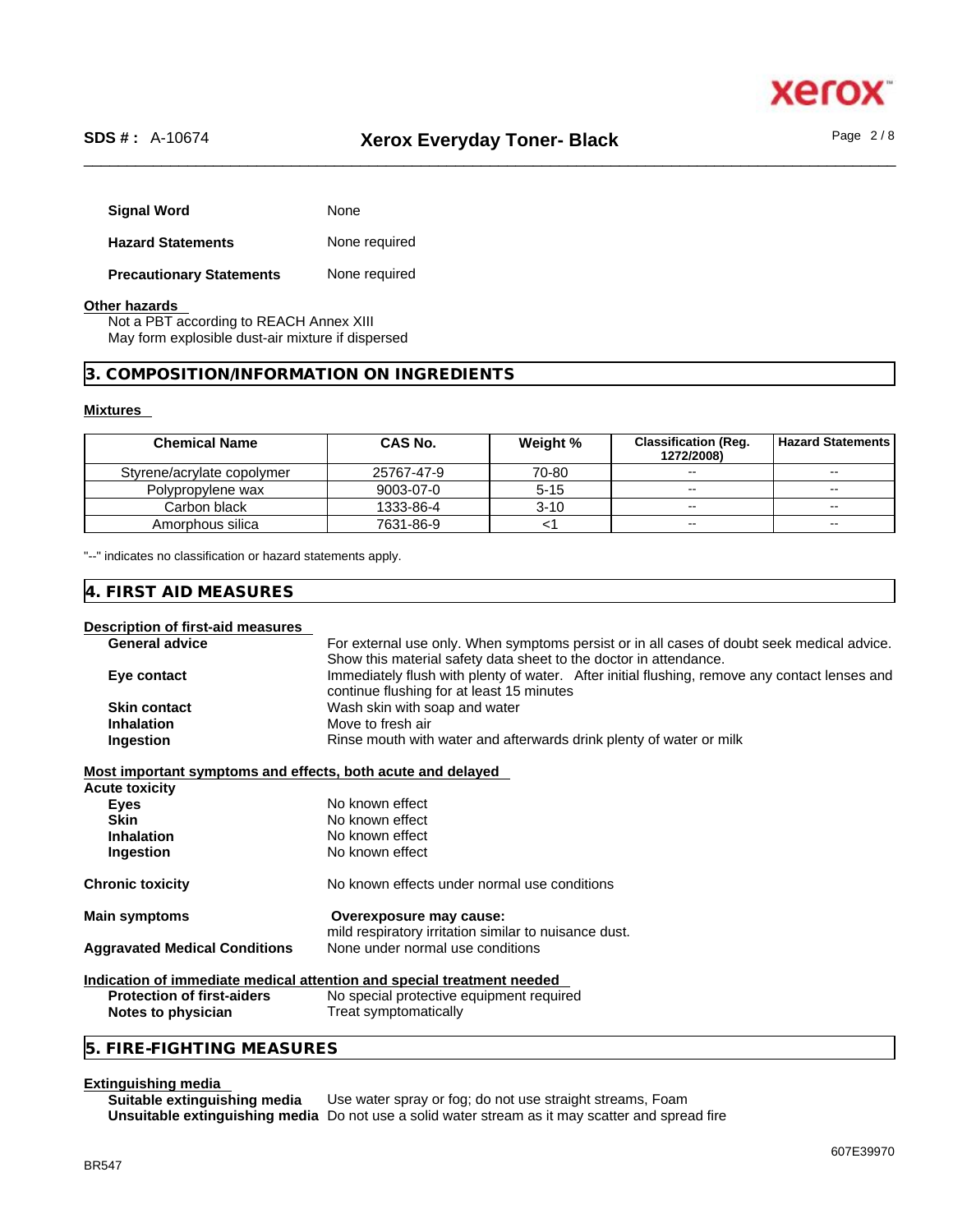

# \_\_\_\_\_\_\_\_\_\_\_\_\_\_\_\_\_\_\_\_\_\_\_\_\_\_\_\_\_\_\_\_\_\_\_\_\_\_\_\_\_\_\_\_\_\_\_\_\_\_\_\_\_\_\_\_\_\_\_\_\_\_\_\_\_\_\_\_\_\_\_\_\_\_\_\_\_\_\_\_\_\_\_\_\_\_\_\_\_\_\_\_\_\_ **SDS # :** A-10674 **Xerox Everyday Toner- Black** Page 2 / 8

| <b>Signal Word</b>              | None          |
|---------------------------------|---------------|
| <b>Hazard Statements</b>        | None required |
| <b>Precautionary Statements</b> | None required |

#### **Other hazards**

Not a PBT according to REACH Annex XIII May form explosible dust-air mixture if dispersed

# **3. COMPOSITION/INFORMATION ON INGREDIENTS**

#### **Mixtures**

| <b>Chemical Name</b>       | CAS No.    | Weight % | <b>Classification (Reg.</b><br>1272/2008) | l Hazard Statements l |
|----------------------------|------------|----------|-------------------------------------------|-----------------------|
| Styrene/acrylate copolymer | 25767-47-9 | 70-80    | --                                        | $\sim$ $\sim$         |
| Polypropylene wax          | 9003-07-0  | $5 - 15$ | --                                        | $- -$                 |
| Carbon black               | 1333-86-4  | $3 - 10$ | $\overline{\phantom{a}}$                  | $- -$                 |
| Amorphous silica           | 7631-86-9  |          | $\overline{\phantom{a}}$                  | $- -$                 |

"--" indicates no classification or hazard statements apply.

# **4. FIRST AID MEASURES**

#### **Description of first-aid measures**

| <b>General advice</b> | For external use only. When symptoms persist or in all cases of doubt seek medical advice.    |  |  |  |
|-----------------------|-----------------------------------------------------------------------------------------------|--|--|--|
|                       | Show this material safety data sheet to the doctor in attendance.                             |  |  |  |
| Eye contact           | Immediately flush with plenty of water. After initial flushing, remove any contact lenses and |  |  |  |
|                       | continue flushing for at least 15 minutes                                                     |  |  |  |
| <b>Skin contact</b>   | Wash skin with soap and water                                                                 |  |  |  |
| <b>Inhalation</b>     | Move to fresh air                                                                             |  |  |  |
| Ingestion             | Rinse mouth with water and afterwards drink plenty of water or milk                           |  |  |  |
|                       |                                                                                               |  |  |  |

### **Most important symptoms and effects, both acute and delayed**

| <b>Acute toxicity</b>                |                                                                                  |  |
|--------------------------------------|----------------------------------------------------------------------------------|--|
| <b>Eves</b>                          | No known effect                                                                  |  |
| <b>Skin</b>                          | No known effect                                                                  |  |
| <b>Inhalation</b>                    | No known effect                                                                  |  |
| <b>Ingestion</b>                     | No known effect                                                                  |  |
| <b>Chronic toxicity</b>              | No known effects under normal use conditions                                     |  |
| <b>Main symptoms</b>                 | Overexposure may cause:<br>mild respiratory irritation similar to nuisance dust. |  |
| <b>Aggravated Medical Conditions</b> | None under normal use conditions                                                 |  |
|                                      | ladisatian af immediate medical attentian and enesial treatment needsel          |  |

# **Indication of immediate medical attention and special treatment needed**

**Protection of first-aiders** No special protective equipment required **Notes to physician** Treat symptomatically

# **5. FIRE-FIGHTING MEASURES**

# **Extinguishing media**

**Suitable extinguishing media** Use water spray or fog; do not use straight streams, Foam **Unsuitable extinguishing media** Do not use a solid water stream as it may scatterand spread fire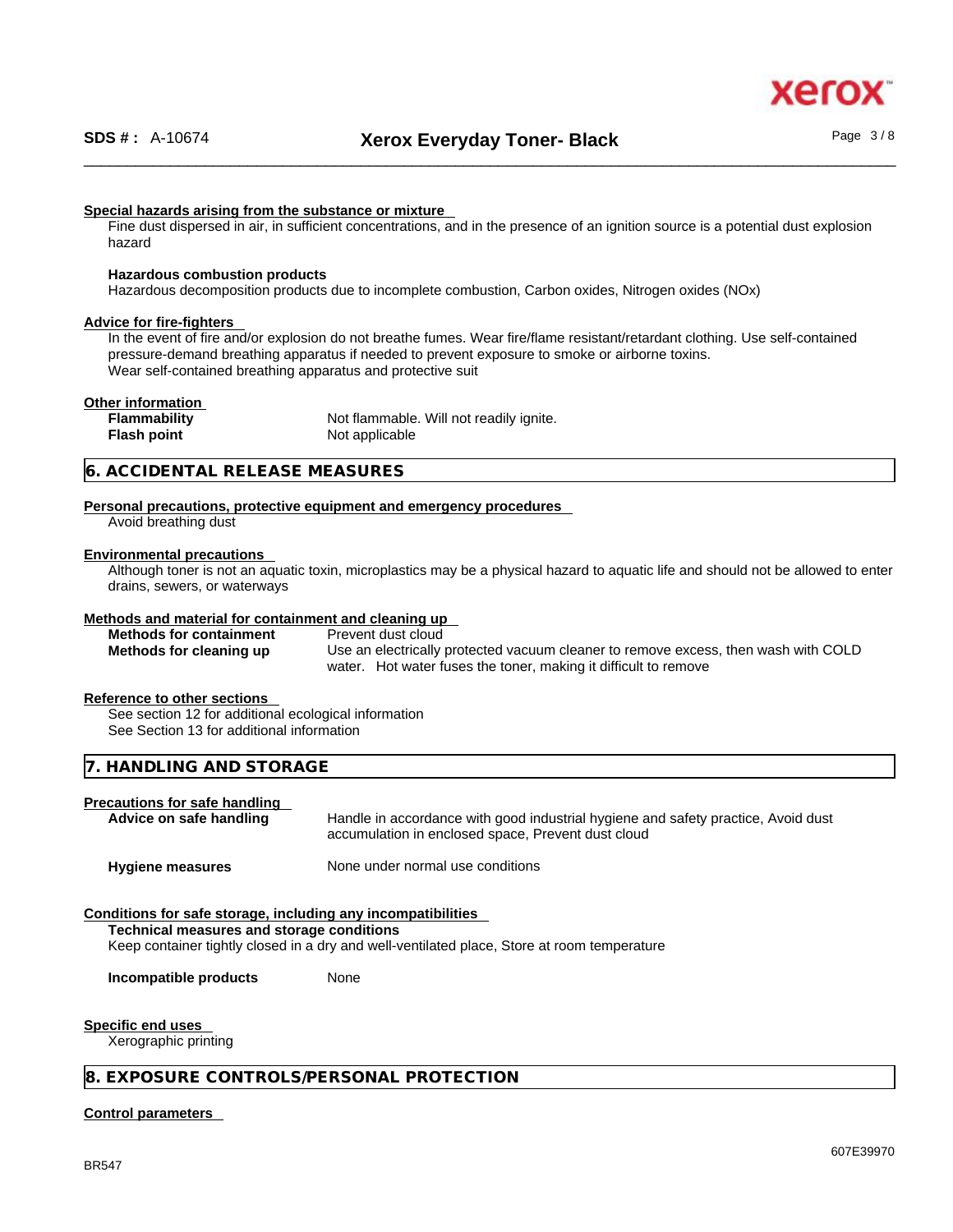#### **Special hazards arising from the substance or mixture**

Fine dust dispersed in air, in sufficient concentrations, and in the presence of an ignition source is a potential dust explosion hazard

#### **Hazardous combustion products**

Hazardous decomposition products due to incomplete combustion, Carbon oxides, Nitrogen oxides (NOx)

#### **Advice for fire-fighters**

In the event of fire and/or explosion do not breathe fumes. Wear fire/flame resistant/retardant clothing. Use self-contained pressure-demand breathing apparatus if needed to prevent exposure to smoke or airborne toxins. Wear self-contained breathing apparatus and protective suit

#### **Other information**

**Flammability** Not flammable. Will not readily ignite. **Flash point** Not applicable

# **6. ACCIDENTAL RELEASE MEASURES**

### **Personal precautions, protective equipment and emergency procedures**

Avoid breathing dust

### **Environmental precautions**

Although toner is not an aquatic toxin, microplastics may be a physical hazard to aquatic life and should not be allowed to enter drains, sewers, or waterways

#### **Methods and material for containment and cleaning up**

**Methods for containment** Prevent dust cloud

**Methods for cleaning up** Use an electrically protected vacuum cleaner to remove excess, then wash with COLD water. Hot water fuses the toner, making it difficult to remove

#### **Reference to other sections**

See section 12 for additional ecological information See Section 13 for additional information

### **7. HANDLING AND STORAGE**

# **Precautions for safe handling**

**Advice on safe handling** Handle in accordance with good industrial hygiene and safety practice, Avoid dust accumulation in enclosed space, Prevent dust cloud

**Hygiene measures** None under normal use conditions

### **Conditions for safe storage, including any incompatibilities**

**Technical measures and storage conditions**

Keep container tightly closed in a dry and well-ventilated place, Store at room temperature

**Incompatible products** None

#### **Specific end uses**

Xerographic printing

### **8. EXPOSURE CONTROLS/PERSONAL PROTECTION**

#### **Control parameters**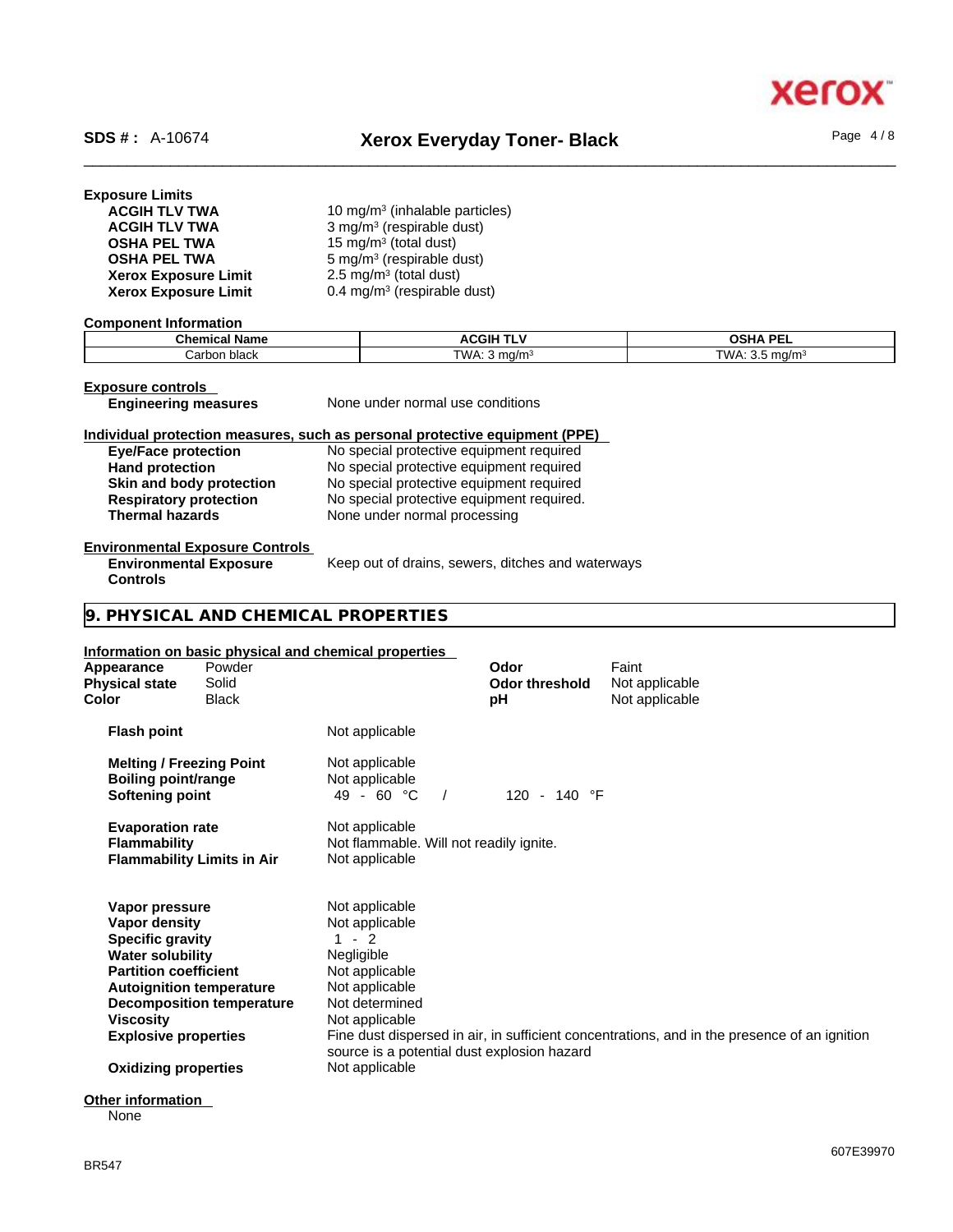# \_\_\_\_\_\_\_\_\_\_\_\_\_\_\_\_\_\_\_\_\_\_\_\_\_\_\_\_\_\_\_\_\_\_\_\_\_\_\_\_\_\_\_\_\_\_\_\_\_\_\_\_\_\_\_\_\_\_\_\_\_\_\_\_\_\_\_\_\_\_\_\_\_\_\_\_\_\_\_\_\_\_\_\_\_\_\_\_\_\_\_\_\_\_ **SDS # :** A-10674 **Xerox Everyday Toner- Black** Page 4 / 8

xerc

| <b>Exposure Limits</b>      |                                            |
|-----------------------------|--------------------------------------------|
| <b>ACGIH TLV TWA</b>        | 10 mg/m <sup>3</sup> (inhalable particles) |
| <b>ACGIH TLV TWA</b>        | 3 mg/m <sup>3</sup> (respirable dust)      |
| <b>OSHA PEL TWA</b>         | 15 mg/m <sup>3</sup> (total dust)          |
| <b>OSHA PEL TWA</b>         | 5 mg/m <sup>3</sup> (respirable dust)      |
| <b>Xerox Exposure Limit</b> | 2.5 mg/m <sup>3</sup> (total dust)         |
| <b>Xerox Exposure Limit</b> | 0.4 mg/m <sup>3</sup> (respirable dust)    |

#### **Component Information**

| <b>Chemical Name</b> | <b>ACGIH TLV</b> | <b>OSHA PEI</b> |
|----------------------|------------------|-----------------|
| ⊧black               | TWA: 5           | TWA.            |
| ' arbon.             | ma/m             | ma/m            |

**Exposure controls<br>
Engineering measures** 

**None under normal use conditions** 

# **Individual protection measures, such as personal protective equipment (PPE)**

| <b>Eye/Face protection</b>    | No special protective equipment required  |
|-------------------------------|-------------------------------------------|
| <b>Hand protection</b>        | No special protective equipment required  |
| Skin and body protection      | No special protective equipment required  |
| <b>Respiratory protection</b> | No special protective equipment required. |
| <b>Thermal hazards</b>        | None under normal processing              |

# **Environmental Exposure Controls**

**Environmental Exposure Controls**  Keep out of drains, sewers, ditches and waterways

# **9. PHYSICAL AND CHEMICAL PROPERTIES**

### **Information on basic physical and chemical properties**

| Appearance<br><b>Physical state</b><br>Color                                                                                                                                                                                               | Powder<br>Solid<br><b>Black</b>   |                                                                                                                                                                                                 | Odor<br><b>Odor threshold</b><br>рH | Faint<br>Not applicable<br>Not applicable                                                    |
|--------------------------------------------------------------------------------------------------------------------------------------------------------------------------------------------------------------------------------------------|-----------------------------------|-------------------------------------------------------------------------------------------------------------------------------------------------------------------------------------------------|-------------------------------------|----------------------------------------------------------------------------------------------|
| <b>Flash point</b>                                                                                                                                                                                                                         |                                   | Not applicable                                                                                                                                                                                  |                                     |                                                                                              |
| <b>Melting / Freezing Point</b><br><b>Boiling point/range</b><br>Softening point                                                                                                                                                           |                                   | Not applicable<br>Not applicable<br>$49 - 60 °C$                                                                                                                                                | 120 - 140 °F                        |                                                                                              |
| <b>Evaporation rate</b><br><b>Flammability</b>                                                                                                                                                                                             | <b>Flammability Limits in Air</b> | Not applicable<br>Not flammable. Will not readily ignite.<br>Not applicable                                                                                                                     |                                     |                                                                                              |
| Vapor pressure<br>Vapor density<br><b>Specific gravity</b><br><b>Water solubility</b><br><b>Partition coefficient</b><br><b>Autoignition temperature</b><br><b>Viscosity</b><br><b>Explosive properties</b><br><b>Oxidizing properties</b> | <b>Decomposition temperature</b>  | Not applicable<br>Not applicable<br>$-2$<br>Negligible<br>Not applicable<br>Not applicable<br>Not determined<br>Not applicable<br>source is a potential dust explosion hazard<br>Not applicable |                                     | Fine dust dispersed in air, in sufficient concentrations, and in the presence of an ignition |
|                                                                                                                                                                                                                                            |                                   |                                                                                                                                                                                                 |                                     |                                                                                              |
| ∩∔har infarmatian                                                                                                                                                                                                                          |                                   |                                                                                                                                                                                                 |                                     |                                                                                              |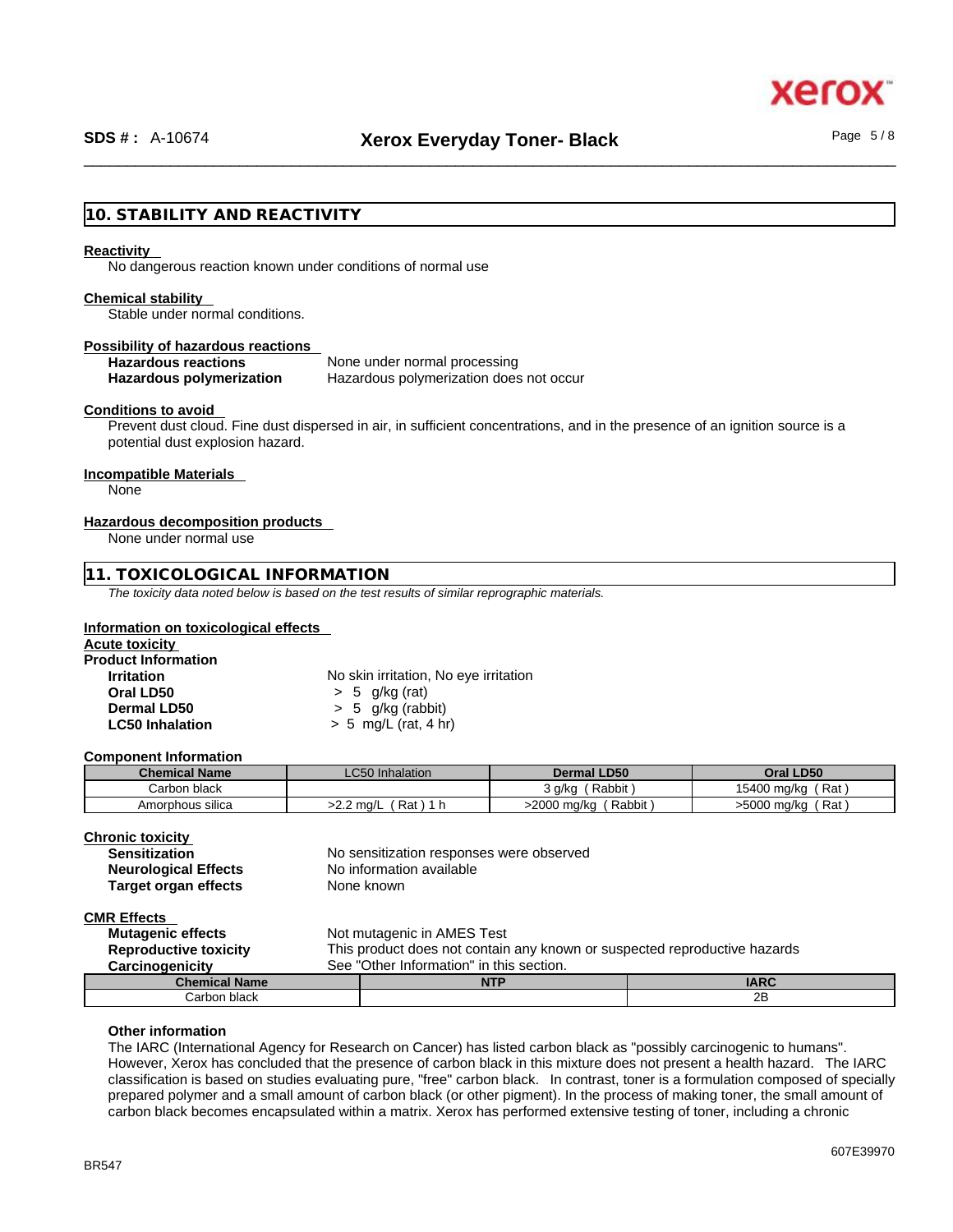xerc

# **10. STABILITY AND REACTIVITY**

#### **Reactivity**

No dangerous reaction known under conditions of normal use

#### **Chemical stability**

Stable under normal conditions.

#### **Possibility of hazardous reactions**

# **Hazardous reactions** None under normal processing

**Hazardous polymerization** Hazardous polymerization does not occur

#### **Conditions to avoid**

Prevent dust cloud. Fine dust dispersed in air, in sufficient concentrations, and in the presence of an ignition source is a potential dust explosion hazard.

# **Incompatible Materials**

None

#### **Hazardous decomposition products**

None under normal use

### **11. TOXICOLOGICAL INFORMATION**

*The toxicity data noted below is based on the test results of similar reprographic materials.* 

#### **Information on toxicological effects**

| <b>Acute toxicity</b>      |                                       |  |
|----------------------------|---------------------------------------|--|
| <b>Product Information</b> |                                       |  |
| <b>Irritation</b>          | No skin irritation, No eye irritation |  |
| Oral LD50                  | $> 5$ g/kg (rat)                      |  |
| Dermal LD50                | $> 5$ g/kg (rabbit)                   |  |
| <b>LC50 Inhalation</b>     | $> 5$ mg/L (rat, 4 hr)                |  |

#### **Component Information**

| <b>Chemical Name</b> | <b>LC50</b> Inhalation | <b>Dermal LD50</b>    | Oral LD50              |
|----------------------|------------------------|-----------------------|------------------------|
| Carbon black         |                        | Rabbit<br>3 g/kg      | 15400 mg/kg<br>์ Rat i |
| Amorphous silica     | Rat .<br>>2.2 ma/L     | Rabbit<br>>2000 mg/kg | ، Rat '<br>>5000 mg/kg |

#### **Chronic toxicity**

| <b>Sensitization</b>        | No sensitization responses were obs |
|-----------------------------|-------------------------------------|
| <b>Neurological Effects</b> | No information available            |
| Target organ effects        | None known                          |

sponses were observed

**CMR Effects** 

| <b>Mutagenic effects</b>     |                                                                           | Not mutagenic in AMES Test |             |
|------------------------------|---------------------------------------------------------------------------|----------------------------|-------------|
| <b>Reproductive toxicity</b> | This product does not contain any known or suspected reproductive hazards |                            |             |
| Carcinogenicity              | See "Other Information" in this section.                                  |                            |             |
| <b>Chemical Name</b>         |                                                                           | <b>NTP</b>                 | <b>IARC</b> |
| Carbon black                 |                                                                           |                            | 2B          |

#### **Other information**

The IARC (International Agency for Research on Cancer) has listed carbon black as "possibly carcinogenic to humans". However, Xerox has concluded that the presence of carbon black in this mixture does not present a health hazard. The IARC classification is based on studies evaluating pure, "free" carbon black. In contrast, toner is a formulation composed of specially prepared polymer and a small amount of carbon black (or other pigment). In the process of making toner, the small amount of carbon black becomes encapsulated within a matrix. Xerox has performed extensive testing of toner, including a chronic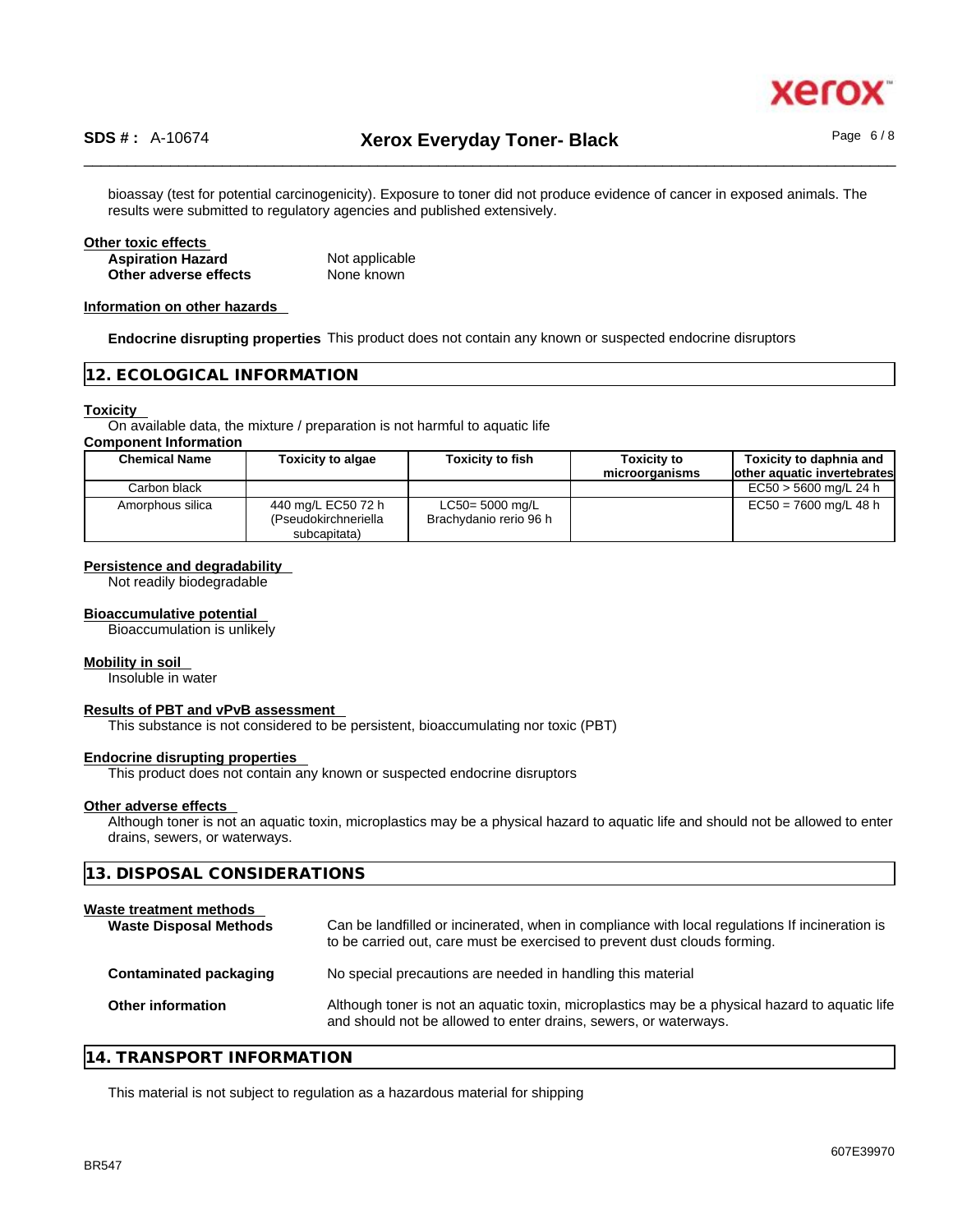

bioassay (test for potential carcinogenicity). Exposure to toner did not produce evidence of cancer in exposed animals. The results were submitted to regulatory agencies and published extensively.

| Other toxic effects      |                |  |
|--------------------------|----------------|--|
| <b>Aspiration Hazard</b> | Not applicable |  |
| Other adverse effects    | None known     |  |

#### **Information on other hazards**

**Endocrine disrupting properties** This product does not contain any known or suspected endocrine disruptors

# **12. ECOLOGICAL INFORMATION**

#### **Toxicity**

On available data, the mixture / preparation is not harmful to aquatic life

#### **Component Information**

| <b>Chemical Name</b> | <b>Toxicity to algae</b>                                   | <b>Toxicity to fish</b>                      | <b>Toxicity to</b> | Toxicity to daphnia and      |
|----------------------|------------------------------------------------------------|----------------------------------------------|--------------------|------------------------------|
|                      |                                                            |                                              | microorganisms     | lother aquatic invertebrates |
| Carbon black         |                                                            |                                              |                    | EC50 > 5600 mg/L 24 h        |
| Amorphous silica     | 440 mg/L EC50 72 h<br>(Pseudokirchneriella<br>subcapitata) | $LC50 = 5000$ mg/L<br>Brachydanio rerio 96 h |                    | $EC50 = 7600$ mg/L 48 h      |

#### **Persistence and degradability**

Not readily biodegradable

# **Bioaccumulative potential**

Bioaccumulation is unlikely

#### **Mobility in soil**

Insoluble in water

# **Results of PBT and vPvB assessment**

This substance is not considered to be persistent, bioaccumulating nor toxic (PBT)

#### **Endocrine disrupting properties**

This product does not contain any known or suspected endocrine disruptors

#### **Other adverse effects**

Although toner is not an aquatic toxin, microplastics may be a physical hazard to aquatic life and should not be allowed to enter drains, sewers, or waterways.

| 13. DISPOSAL CONSIDERATIONS                              |                                                                                                                                                                             |  |
|----------------------------------------------------------|-----------------------------------------------------------------------------------------------------------------------------------------------------------------------------|--|
| Waste treatment methods<br><b>Waste Disposal Methods</b> | Can be landfilled or incinerated, when in compliance with local regulations If incineration is<br>to be carried out, care must be exercised to prevent dust clouds forming. |  |
| Contaminated packaging                                   | No special precautions are needed in handling this material                                                                                                                 |  |
| Other information                                        | Although toner is not an aquatic toxin, microplastics may be a physical hazard to aquatic life<br>and should not be allowed to enter drains, sewers, or waterways.          |  |
|                                                          |                                                                                                                                                                             |  |

# **14. TRANSPORT INFORMATION**

This material is not subject to regulation as a hazardous material for shipping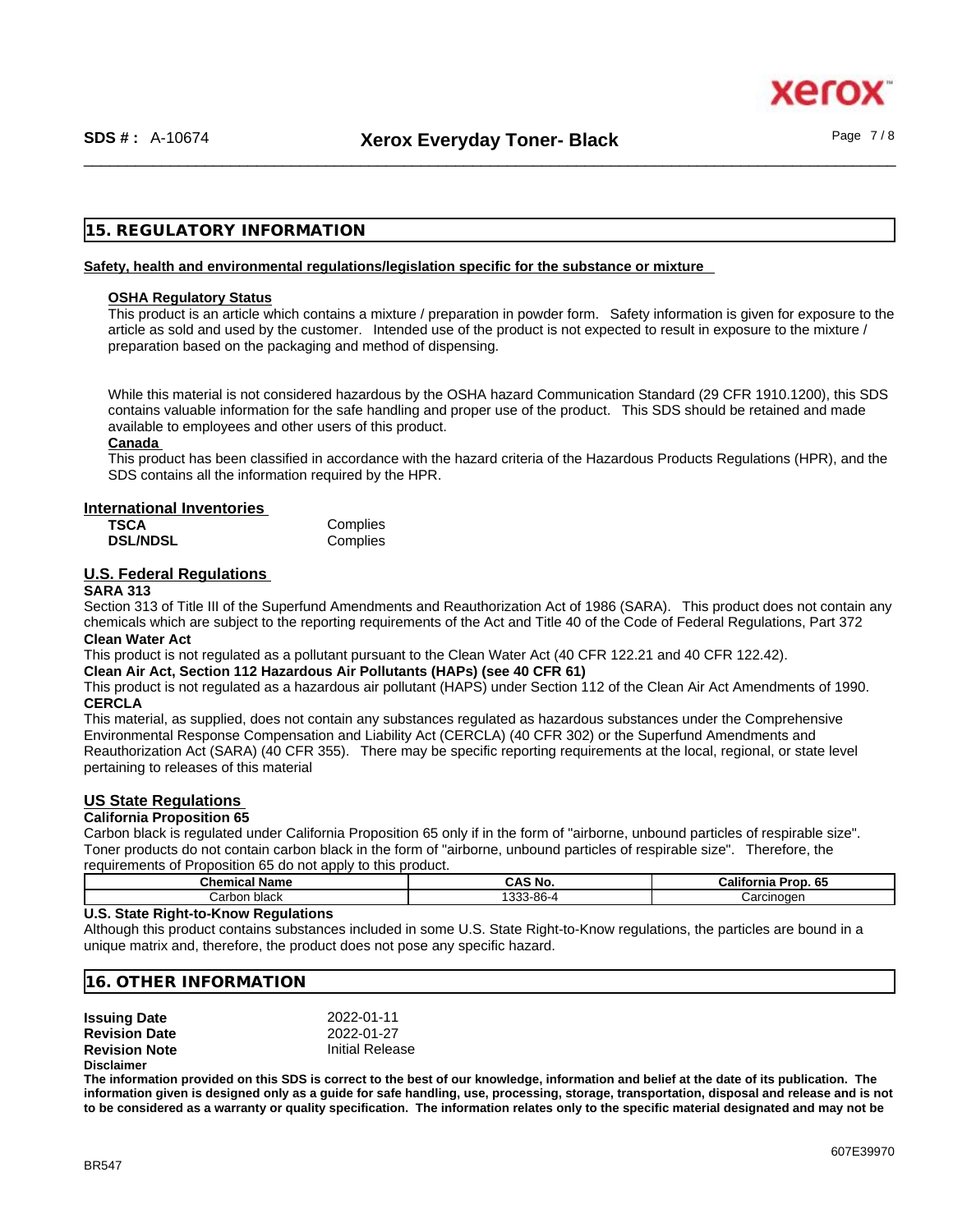xer

# **15. REGULATORY INFORMATION**

### **Safety, health and environmental regulations/legislation specific for the substance or mixture**

#### **OSHA Regulatory Status**

This product is an article which contains a mixture / preparation in powder form. Safety information is given for exposure to the article as sold and used by the customer. Intended use of the product is not expected to result in exposure to the mixture / preparation based on the packaging and method of dispensing.

While this material is not considered hazardous by the OSHA hazard Communication Standard (29 CFR 1910.1200), this SDS contains valuable information for the safe handling and proper use of the product. This SDS should be retained and made available to employees and other users of this product.

### **Canada**

This product has been classified in accordance with the hazard criteria of the Hazardous Products Regulations (HPR), and the SDS contains all the information required by the HPR.

#### **International Inventories**

| <b>TSCA</b>     | Complies |
|-----------------|----------|
| <b>DSL/NDSL</b> | Complies |

# **U.S. Federal Regulations**

#### **SARA 313**

Section 313 of Title III of the Superfund Amendments and Reauthorization Act of 1986 (SARA). This product does not contain any chemicals which are subject to the reporting requirements of the Act and Title 40 of the Code of Federal Regulations, Part 372 **Clean Water Act**

This product is not regulated as a pollutant pursuant to the Clean Water Act (40 CFR 122.21 and 40 CFR 122.42).

#### **Clean Air Act,Section 112 Hazardous Air Pollutants (HAPs) (see 40 CFR 61)**

This product is not regulated as a hazardous air pollutant (HAPS) under Section 112 of the Clean Air Act Amendments of 1990. **CERCLA**

This material, as supplied, does not contain any substances regulated as hazardous substances under the Comprehensive Environmental Response Compensation and Liability Act (CERCLA) (40 CFR 302) or the Superfund Amendments and Reauthorization Act (SARA) (40 CFR 355). There may be specific reporting requirements at the local, regional, or state level pertaining to releases of this material

# **US State Regulations**

### **California Proposition 65**

Carbon black is regulated under California Proposition 65 only if in the form of "airborne, unbound particles of respirable size". Toner products do not contain carbon black in the form of "airborne, unbound particles of respirable size". Therefore, the requirements of Proposition 65 do not apply to this product.

| Name<br>วิhemical | <b>CAS No.</b>   | .<br>cЕ<br>ాrop. 6ు<br>California |
|-------------------|------------------|-----------------------------------|
| Carbon black      | 122200<br>∸00 הי | Carcinoden                        |

#### **U.S. State Right-to-Know Regulations**

Although this product contains substances included in some U.S. State Right-to-Know regulations, the particles are bound in a unique matrix and, therefore, the product does not pose any specific hazard.

### **16. OTHER INFORMATION**

| <b>Issuing Date</b>  | 2022-01-11      |
|----------------------|-----------------|
| <b>Revision Date</b> | 2022-01-27      |
| <b>Revision Note</b> | Initial Release |
| <b>Disclaimer</b>    |                 |

**The information provided on this SDS is correct to the best of our knowledge, information and belief at the date of its publication. The information given is designed only as a guide for safe handling, use, processing, storage, transportation, disposal and release and is not to be considered as a warranty or quality specification. The information relates only to the specific material designated and may not be**